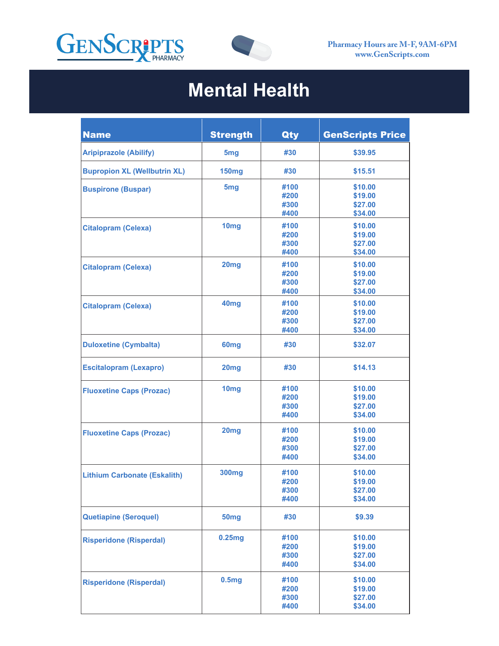



## **Mental Health**

| <b>Name</b>                         | <b>Strength</b>   | Qty          | <b>GenScripts Price</b> |
|-------------------------------------|-------------------|--------------|-------------------------|
| <b>Aripiprazole (Abilify)</b>       | 5 <sub>mg</sub>   | #30          | \$39.95                 |
| <b>Bupropion XL (Wellbutrin XL)</b> | <b>150mg</b>      | #30          | \$15.51                 |
| <b>Buspirone (Buspar)</b>           | 5 <sub>mg</sub>   | #100<br>#200 | \$10.00<br>\$19.00      |
|                                     |                   | #300<br>#400 | \$27.00<br>\$34.00      |
| <b>Citalopram (Celexa)</b>          | 10 <sub>mg</sub>  | #100<br>#200 | \$10.00<br>\$19.00      |
|                                     |                   | #300<br>#400 | \$27.00<br>\$34.00      |
| <b>Citalopram (Celexa)</b>          | 20mg              | #100         | \$10.00                 |
|                                     |                   | #200<br>#300 | \$19.00<br>\$27.00      |
| <b>Citalopram (Celexa)</b>          | 40 <sub>mg</sub>  | #400<br>#100 | \$34.00<br>\$10.00      |
|                                     |                   | #200<br>#300 | \$19.00<br>\$27.00      |
| <b>Duloxetine (Cymbalta)</b>        | 60 <sub>mg</sub>  | #400<br>#30  | \$34.00<br>\$32.07      |
|                                     |                   |              |                         |
| <b>Escitalopram (Lexapro)</b>       | 20 <sub>mg</sub>  | #30          | \$14.13                 |
| <b>Fluoxetine Caps (Prozac)</b>     | 10 <sub>mg</sub>  | #100<br>#200 | \$10.00<br>\$19.00      |
|                                     |                   | #300<br>#400 | \$27.00<br>\$34.00      |
| <b>Fluoxetine Caps (Prozac)</b>     | 20mg              | #100<br>#200 | \$10.00<br>\$19.00      |
|                                     |                   | #300<br>#400 | \$27.00<br>\$34.00      |
| <b>Lithium Carbonate (Eskalith)</b> | 300 <sub>mg</sub> | #100         | \$10.00                 |
|                                     |                   | #200<br>#300 | \$19.00<br>\$27.00      |
|                                     |                   | #400         | \$34.00                 |
| <b>Quetiapine (Seroquel)</b>        | 50 <sub>mg</sub>  | #30          | \$9.39                  |
| <b>Risperidone (Risperdal)</b>      | 0.25mg            | #100<br>#200 | \$10.00<br>\$19.00      |
|                                     |                   | #300<br>#400 | \$27.00<br>\$34.00      |
| <b>Risperidone (Risperdal)</b>      | 0.5mg             | #100         | \$10.00                 |
|                                     |                   | #200<br>#300 | \$19.00<br>\$27.00      |
|                                     |                   | #400         | \$34.00                 |